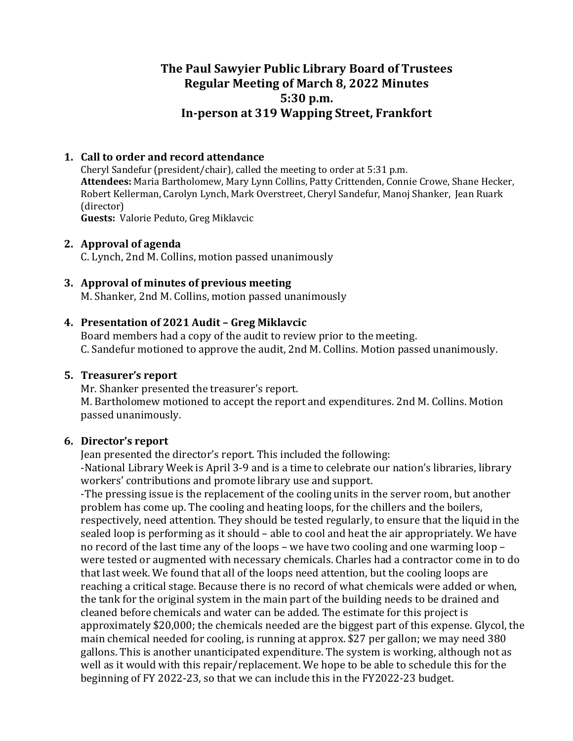# **The Paul Sawyier Public Library Board of Trustees Regular Meeting of March 8, 2022 Minutes 5:30 p.m. In-person at 319 Wapping Street, Frankfort**

#### **1. Call to order and record attendance**

Cheryl Sandefur (president/chair), called the meeting to order at 5:31 p.m. Attendees: Maria Bartholomew, Mary Lynn Collins, Patty Crittenden, Connie Crowe, Shane Hecker, Robert Kellerman, Carolyn Lynch, Mark Overstreet, Cheryl Sandefur, Manoj Shanker, Jean Ruark (director) **Guests:** Valorie Peduto, Greg Miklavcic

#### **2.** Approval of agenda

C. Lynch, 2nd M. Collins, motion passed unanimously

#### **3.** Approval of minutes of previous meeting

M. Shanker, 2nd M. Collins, motion passed unanimously

#### **4. Presentation of 2021 Audit – Greg Miklavcic**

Board members had a copy of the audit to review prior to the meeting. C. Sandefur motioned to approve the audit, 2nd M. Collins. Motion passed unanimously.

#### **5.** Treasurer's report

Mr. Shanker presented the treasurer's report.

M. Bartholomew motioned to accept the report and expenditures. 2nd M. Collins. Motion passed unanimously.

### **6.** Director's report

Jean presented the director's report. This included the following:

-National Library Week is April 3-9 and is a time to celebrate our nation's libraries, library workers' contributions and promote library use and support.

-The pressing issue is the replacement of the cooling units in the server room, but another problem has come up. The cooling and heating loops, for the chillers and the boilers, respectively, need attention. They should be tested regularly, to ensure that the liquid in the sealed loop is performing as it should – able to cool and heat the air appropriately. We have no record of the last time any of the loops – we have two cooling and one warming loop – were tested or augmented with necessary chemicals. Charles had a contractor come in to do that last week. We found that all of the loops need attention, but the cooling loops are reaching a critical stage. Because there is no record of what chemicals were added or when, the tank for the original system in the main part of the building needs to be drained and cleaned before chemicals and water can be added. The estimate for this project is approximately \$20,000; the chemicals needed are the biggest part of this expense. Glycol, the main chemical needed for cooling, is running at approx. \$27 per gallon; we may need 380 gallons. This is another unanticipated expenditure. The system is working, although not as well as it would with this repair/replacement. We hope to be able to schedule this for the beginning of FY 2022-23, so that we can include this in the FY2022-23 budget.